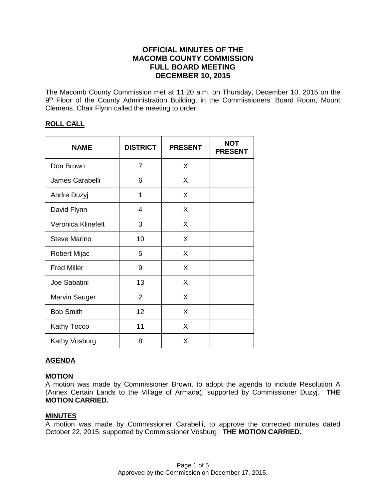# **OFFICIAL MINUTES OF THE MACOMB COUNTY COMMISSION FULL BOARD MEETING DECEMBER 10, 2015**

The Macomb County Commission met at 11:20 a.m. on Thursday, December 10, 2015 on the 9<sup>th</sup> Floor of the County Administration Building, in the Commissioners' Board Room, Mount Clemens. Chair Flynn called the meeting to order.

# **ROLL CALL**

| <b>NAME</b>          | <b>DISTRICT</b> | <b>PRESENT</b> | <b>NOT</b><br><b>PRESENT</b> |
|----------------------|-----------------|----------------|------------------------------|
| Don Brown            | 7               | X              |                              |
| James Carabelli      | 6               | X              |                              |
| Andre Duzyj          | 1               | X              |                              |
| David Flynn          | 4               | X              |                              |
| Veronica Klinefelt   | 3               | X              |                              |
| <b>Steve Marino</b>  | 10              | X              |                              |
| Robert Mijac         | 5               | X              |                              |
| <b>Fred Miller</b>   | 9               | X              |                              |
| Joe Sabatini         | 13              | X              |                              |
| <b>Marvin Sauger</b> | $\overline{2}$  | X              |                              |
| <b>Bob Smith</b>     | 12              | X              |                              |
| <b>Kathy Tocco</b>   | 11              | X              |                              |
| Kathy Vosburg        | 8               | X              |                              |

# **AGENDA**

#### **MOTION**

A motion was made by Commissioner Brown, to adopt the agenda to include Resolution A (Annex Certain Lands to the Village of Armada), supported by Commissioner Duzyj. **THE MOTION CARRIED.** 

#### **MINUTES**

A motion was made by Commissioner Carabelli, to approve the corrected minutes dated October 22, 2015, supported by Commissioner Vosburg. **THE MOTION CARRIED.**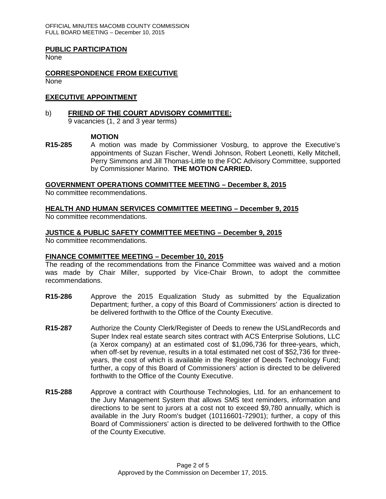OFFICIAL MINUTES MACOMB COUNTY COMMISSION FULL BOARD MEETING – December 10, 2015

#### **PUBLIC PARTICIPATION**

None

#### **CORRESPONDENCE FROM EXECUTIVE** None

### **EXECUTIVE APPOINTMENT**

#### b) **FRIEND OF THE COURT ADVISORY COMMITTEE:** 9 vacancies (1, 2 and 3 year terms)

#### **MOTION**

**R15-285** A motion was made by Commissioner Vosburg, to approve the Executive's appointments of Suzan Fischer, Wendi Johnson, Robert Leonetti, Kelly Mitchell, Perry Simmons and Jill Thomas-Little to the FOC Advisory Committee, supported by Commissioner Marino. **THE MOTION CARRIED.**

**GOVERNMENT OPERATIONS COMMITTEE MEETING – December 8, 2015**

No committee recommendations.

### **HEALTH AND HUMAN SERVICES COMMITTEE MEETING – December 9, 2015**

No committee recommendations.

#### **JUSTICE & PUBLIC SAFETY COMMITTEE MEETING – December 9, 2015**

No committee recommendations.

#### **FINANCE COMMITTEE MEETING – December 10, 2015**

The reading of the recommendations from the Finance Committee was waived and a motion was made by Chair Miller, supported by Vice-Chair Brown, to adopt the committee recommendations.

- **R15-286** Approve the 2015 Equalization Study as submitted by the Equalization Department; further, a copy of this Board of Commissioners' action is directed to be delivered forthwith to the Office of the County Executive.
- **R15-287** Authorize the County Clerk/Register of Deeds to renew the USLandRecords and Super Index real estate search sites contract with ACS Enterprise Solutions, LLC (a Xerox company) at an estimated cost of \$1,096,736 for three-years, which, when off-set by revenue, results in a total estimated net cost of \$52,736 for threeyears, the cost of which is available in the Register of Deeds Technology Fund; further, a copy of this Board of Commissioners' action is directed to be delivered forthwith to the Office of the County Executive.
- **R15-288** Approve a contract with Courthouse Technologies, Ltd. for an enhancement to the Jury Management System that allows SMS text reminders, information and directions to be sent to jurors at a cost not to exceed \$9,780 annually, which is available in the Jury Room's budget (10116601-72901); further, a copy of this Board of Commissioners' action is directed to be delivered forthwith to the Office of the County Executive.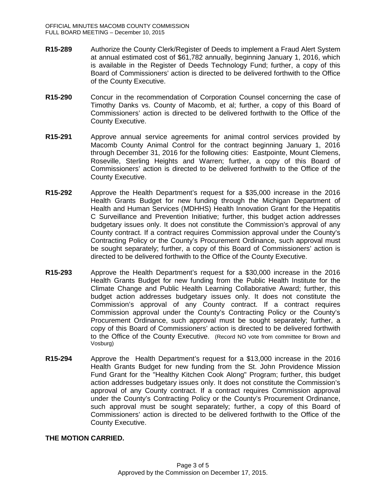- **R15-289** Authorize the County Clerk/Register of Deeds to implement a Fraud Alert System at annual estimated cost of \$61,782 annually, beginning January 1, 2016, which is available in the Register of Deeds Technology Fund; further, a copy of this Board of Commissioners' action is directed to be delivered forthwith to the Office of the County Executive.
- **R15-290** Concur in the recommendation of Corporation Counsel concerning the case of Timothy Danks vs. County of Macomb, et al; further, a copy of this Board of Commissioners' action is directed to be delivered forthwith to the Office of the County Executive.
- **R15-291** Approve annual service agreements for animal control services provided by Macomb County Animal Control for the contract beginning January 1, 2016 through December 31, 2016 for the following cities: Eastpointe, Mount Clemens, Roseville, Sterling Heights and Warren; further, a copy of this Board of Commissioners' action is directed to be delivered forthwith to the Office of the County Executive.
- **R15-292** Approve the Health Department's request for a \$35,000 increase in the 2016 Health Grants Budget for new funding through the Michigan Department of Health and Human Services (MDHHS) Health Innovation Grant for the Hepatitis C Surveillance and Prevention Initiative; further, this budget action addresses budgetary issues only. It does not constitute the Commission's approval of any County contract. If a contract requires Commission approval under the County's Contracting Policy or the County's Procurement Ordinance, such approval must be sought separately; further, a copy of this Board of Commissioners' action is directed to be delivered forthwith to the Office of the County Executive.
- **R15-293** Approve the Health Department's request for a \$30,000 increase in the 2016 Health Grants Budget for new funding from the Public Health Institute for the Climate Change and Public Health Learning Collaborative Award; further, this budget action addresses budgetary issues only. It does not constitute the Commission's approval of any County contract. If a contract requires Commission approval under the County's Contracting Policy or the County's Procurement Ordinance, such approval must be sought separately; further, a copy of this Board of Commissioners' action is directed to be delivered forthwith to the Office of the County Executive. (Record NO vote from committee for Brown and Vosburg)
- **R15-294** Approve the Health Department's request for a \$13,000 increase in the 2016 Health Grants Budget for new funding from the St. John Providence Mission Fund Grant for the "Healthy Kitchen Cook Along" Program; further, this budget action addresses budgetary issues only. It does not constitute the Commission's approval of any County contract. If a contract requires Commission approval under the County's Contracting Policy or the County's Procurement Ordinance, such approval must be sought separately; further, a copy of this Board of Commissioners' action is directed to be delivered forthwith to the Office of the County Executive.

#### **THE MOTION CARRIED.**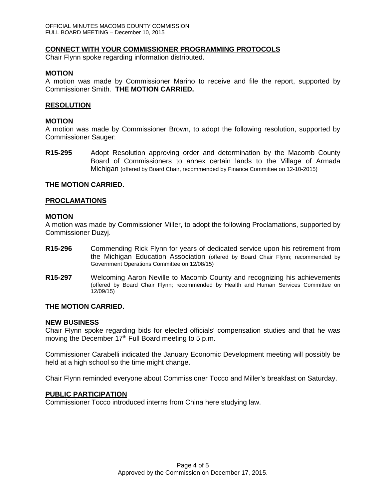#### **CONNECT WITH YOUR COMMISSIONER PROGRAMMING PROTOCOLS**

Chair Flynn spoke regarding information distributed.

#### **MOTION**

A motion was made by Commissioner Marino to receive and file the report, supported by Commissioner Smith. **THE MOTION CARRIED.**

### **RESOLUTION**

#### **MOTION**

A motion was made by Commissioner Brown, to adopt the following resolution, supported by Commissioner Sauger:

**R15-295** Adopt Resolution approving order and determination by the Macomb County Board of Commissioners to annex certain lands to the Village of Armada Michigan (offered by Board Chair, recommended by Finance Committee on 12-10-2015)

### **THE MOTION CARRIED.**

#### **PROCLAMATIONS**

#### **MOTION**

A motion was made by Commissioner Miller, to adopt the following Proclamations, supported by Commissioner Duzyj.

- **R15-296** Commending Rick Flynn for years of dedicated service upon his retirement from the Michigan Education Association (offered by Board Chair Flynn; recommended by Government Operations Committee on 12/08/15)
- **R15-297** Welcoming Aaron Neville to Macomb County and recognizing his achievements (offered by Board Chair Flynn; recommended by Health and Human Services Committee on 12/09/15)

### **THE MOTION CARRIED.**

#### **NEW BUSINESS**

Chair Flynn spoke regarding bids for elected officials' compensation studies and that he was moving the December  $17<sup>th</sup>$  Full Board meeting to 5 p.m.

Commissioner Carabelli indicated the January Economic Development meeting will possibly be held at a high school so the time might change.

Chair Flynn reminded everyone about Commissioner Tocco and Miller's breakfast on Saturday.

#### **PUBLIC PARTICIPATION**

Commissioner Tocco introduced interns from China here studying law.